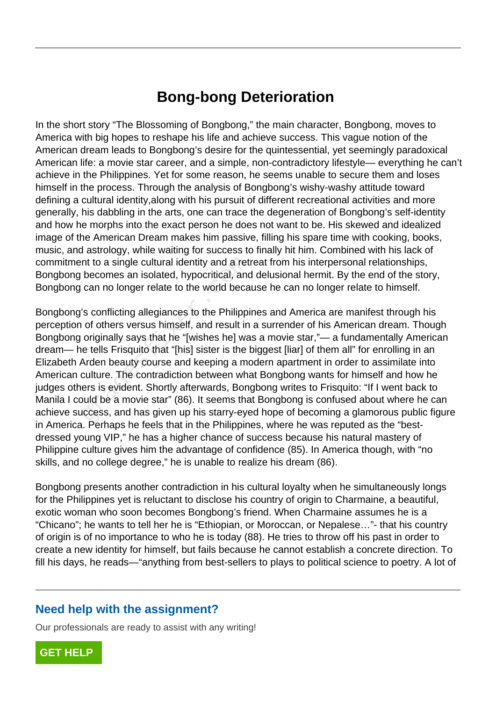## **Bong-bong Deterioration**

In the short story "The Blossoming of Bongbong," the main character, Bongbong, moves to America with big hopes to reshape his life and achieve success. This vague notion of the American dream leads to Bongbong's desire for the quintessential, yet seemingly paradoxical American life: a movie star career, and a simple, non-contradictory lifestyle— everything he can't achieve in the Philippines. Yet for some reason, he seems unable to secure them and loses himself in the process. Through the analysis of Bongbong's wishy-washy attitude toward defining a cultural identity,along with his pursuit of different recreational activities and more generally, his dabbling in the arts, one can trace the degeneration of Bongbong's self-identity and how he morphs into the exact person he does not want to be. His skewed and idealized image of the American Dream makes him passive, filling his spare time with cooking, books, music, and astrology, while waiting for success to finally hit him. Combined with his lack of commitment to a single cultural identity and a retreat from his interpersonal relationships, Bongbong becomes an isolated, hypocritical, and delusional hermit. By the end of the story, Bongbong can no longer relate to the world because he can no longer relate to himself.

Bongbong's conflicting allegiances to the Philippines and America are manifest through his perception of others versus himself, and result in a surrender of his American dream. Though Bongbong originally says that he "[wishes he] was a movie star,"— a fundamentally American dream— he tells Frisquito that "[his] sister is the biggest [liar] of them all" for enrolling in an Elizabeth Arden beauty course and keeping a modern apartment in order to assimilate into American culture. The contradiction between what Bongbong wants for himself and how he judges others is evident. Shortly afterwards, Bongbong writes to Frisquito: "If I went back to Manila I could be a movie star" (86). It seems that Bongbong is confused about where he can achieve success, and has given up his starry-eyed hope of becoming a glamorous public figure in America. Perhaps he feels that in the Philippines, where he was reputed as the "bestdressed young VIP," he has a higher chance of success because his natural mastery of Philippine culture gives him the advantage of confidence (85). In America though, with "no skills, and no college degree," he is unable to realize his dream (86). nt to a single cultural identity and a rett<br>becomes an isolated, hypocritical, anc<br>can no longer relate to the world beca<br>'s conflicting allegiances to the Philippi<br>of others versus himself, and result in<br>originally says t

Bongbong presents another contradiction in his cultural loyalty when he simultaneously longs for the Philippines yet is reluctant to disclose his country of origin to Charmaine, a beautiful, exotic woman who soon becomes Bongbong's friend. When Charmaine assumes he is a "Chicano"; he wants to tell her he is "Ethiopian, or Moroccan, or Nepalese…"- that his country of origin is of no importance to who he is today (88). He tries to throw off his past in order to create a new identity for himself, but fails because he cannot establish a concrete direction. To fill his days, he reads—"anything from best-sellers to plays to political science to poetry. A lot of

## **Need help with the assignment?**

Our professionals are ready to assist with any writing!

**[GET HELP](https://my.gradesfixer.com/order?utm_campaign=pdf_sample)**